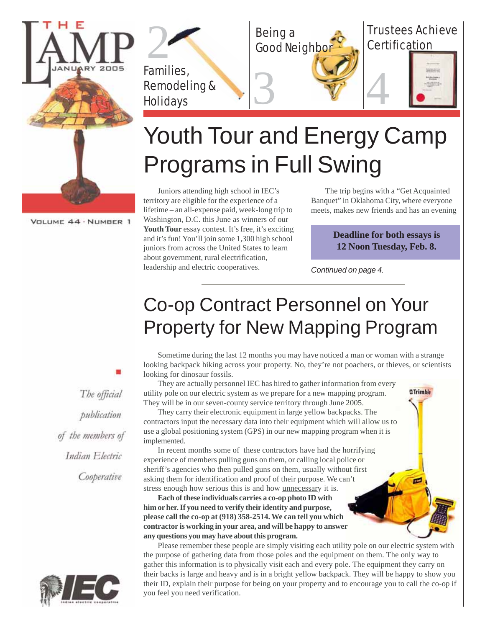

Being a **Good Neighbor** 



Families, Remodeling & **Holidays** 

# Youth Tour and Energy Camp Programs in Full Swing

3 74

Juniors attending high school in IEC's territory are eligible for the experience of a lifetime – an all-expense paid, week-long trip to Washington, D.C. this June as winners of our Youth Tour essay contest. It's free, it's exciting and it's fun! You'll join some 1,300 high school juniors from across the United States to learn about government, rural electrification, leadership and electric cooperatives.

The trip begins with a "Get Acquainted Banquet" in Oklahoma City, where everyone meets, makes new friends and has an evening

> **Deadline for both essays is 12 Noon Tuesday, Feb. 8.**

> > <sup>2</sup>Trimble

*Continued on page 4.*

# Co-op Contract Personnel on Your Property for New Mapping Program

Sometime during the last 12 months you may have noticed a man or woman with a strange looking backpack hiking across your property. No, they're not poachers, or thieves, or scientists looking for dinosaur fossils.

They are actually personnel IEC has hired to gather information from every utility pole on our electric system as we prepare for a new mapping program. They will be in our seven-county service territory through June 2005.

They carry their electronic equipment in large yellow backpacks. The contractors input the necessary data into their equipment which will allow us to use a global positioning system (GPS) in our new mapping program when it is implemented.

In recent months some of these contractors have had the horrifying experience of members pulling guns on them, or calling local police or sheriff's agencies who then pulled guns on them, usually without first asking them for identification and proof of their purpose. We can't stress enough how serious this is and how unnecessary it is.

**Each of these individuals carries a co-op photo ID with him or her. If you need to verify their identity and purpose, please call the co-op at (918) 358-2514. We can tell you which contractor is working in your area, and will be happy to answer any questions you may have about this program.**

Please remember these people are simply visiting each utility pole on our electric system with the purpose of gathering data from those poles and the equipment on them. The only way to gather this information is to physically visit each and every pole. The equipment they carry on their backs is large and heavy and is in a bright yellow backpack. They will be happy to show you their ID, explain their purpose for being on your property and to encourage you to call the co-op if you feel you need verification.

VOLUME 44 · NUMBER 1

The official publication of the members of Indian Electric Cooperative

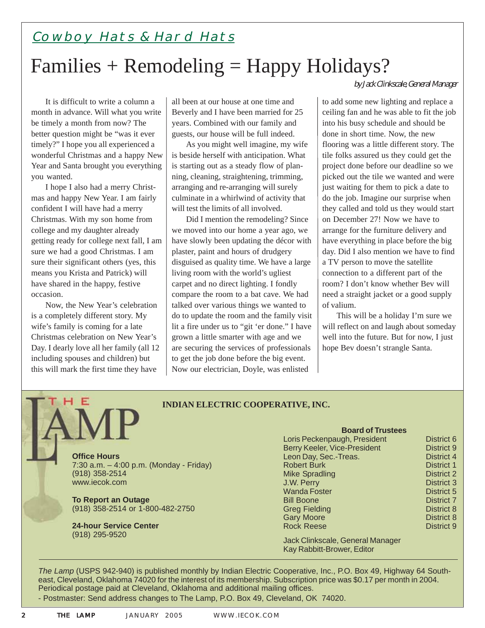### Cowboy Hats & Hard Hats

## Families + Remodeling = Happy Holidays?

It is difficult to write a column a month in advance. Will what you write be timely a month from now? The better question might be "was it ever timely?" I hope you all experienced a wonderful Christmas and a happy New Year and Santa brought you everything you wanted.

I hope I also had a merry Christmas and happy New Year. I am fairly confident I will have had a merry Christmas. With my son home from college and my daughter already getting ready for college next fall, I am sure we had a good Christmas. I am sure their significant others (yes, this means you Krista and Patrick) will have shared in the happy, festive occasion.

Now, the New Year's celebration is a completely different story. My wife's family is coming for a late Christmas celebration on New Year's Day. I dearly love all her family (all 12 including spouses and children) but this will mark the first time they have

Е

all been at our house at one time and Beverly and I have been married for 25 years. Combined with our family and guests, our house will be full indeed.

As you might well imagine, my wife is beside herself with anticipation. What is starting out as a steady flow of planning, cleaning, straightening, trimming, arranging and re-arranging will surely culminate in a whirlwind of activity that will test the limits of all involved.

Did I mention the remodeling? Since we moved into our home a year ago, we have slowly been updating the décor with plaster, paint and hours of drudgery disguised as quality time. We have a large living room with the world's ugliest carpet and no direct lighting. I fondly compare the room to a bat cave. We had talked over various things we wanted to do to update the room and the family visit lit a fire under us to "git 'er done." I have grown a little smarter with age and we are securing the services of professionals to get the job done before the big event. Now our electrician, Doyle, was enlisted

by Jack Clinkscale, General Manager

to add some new lighting and replace a ceiling fan and he was able to fit the job into his busy schedule and should be done in short time. Now, the new flooring was a little different story. The tile folks assured us they could get the project done before our deadline so we picked out the tile we wanted and were just waiting for them to pick a date to do the job. Imagine our surprise when they called and told us they would start on December 27! Now we have to arrange for the furniture delivery and have everything in place before the big day. Did I also mention we have to find a TV person to move the satellite connection to a different part of the room? I don't know whether Bev will need a straight jacket or a good supply of valium.

This will be a holiday I'm sure we will reflect on and laugh about someday well into the future. But for now, I just hope Bev doesn't strangle Santa.

#### **INDIAN ELECTRIC COOPERATIVE, INC.**

**Office Hours** 7:30 a.m. – 4:00 p.m. (Monday - Friday) (918) 358-2514 www.iecok.com

**To Report an Outage** (918) 358-2514 or 1-800-482-2750

**24-hour Service Center** (918) 295-9520

#### **Board of Trustees**

| Loris Peckenpaugh, President | District 6        |
|------------------------------|-------------------|
| Berry Keeler, Vice-President | District 9        |
| Leon Day, Sec.-Treas.        | District 4        |
| <b>Robert Burk</b>           | District 1        |
| <b>Mike Spradling</b>        | <b>District 2</b> |
| J.W. Perry                   | District 3        |
| <b>Wanda Foster</b>          | District 5        |
| <b>Bill Boone</b>            | District 7        |
| <b>Greg Fielding</b>         | District 8        |
| <b>Gary Moore</b>            | District 8        |
| <b>Rock Reese</b>            | District 9        |
|                              |                   |

Jack Clinkscale, General Manager Kay Rabbitt-Brower, Editor

*The Lamp* (USPS 942-940) is published monthly by Indian Electric Cooperative, Inc., P.O. Box 49, Highway 64 Southeast, Cleveland, Oklahoma 74020 for the interest of its membership. Subscription price was \$0.17 per month in 2004. Periodical postage paid at Cleveland, Oklahoma and additional mailing offices.

- Postmaster: Send address changes to The Lamp, P.O. Box 49, Cleveland, OK 74020.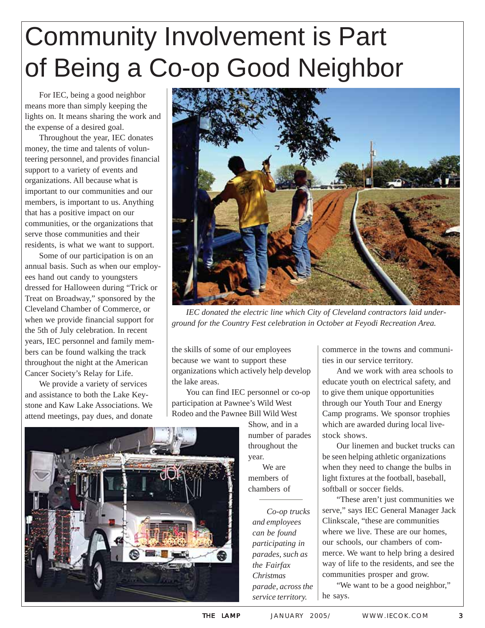# Community Involvement is Part of Being a Co-op Good Neighbor

For IEC, being a good neighbor means more than simply keeping the lights on. It means sharing the work and the expense of a desired goal.

Throughout the year, IEC donates money, the time and talents of volunteering personnel, and provides financial support to a variety of events and organizations. All because what is important to our communities and our members, is important to us. Anything that has a positive impact on our communities, or the organizations that serve those communities and their residents, is what we want to support.

Some of our participation is on an annual basis. Such as when our employees hand out candy to youngsters dressed for Halloween during "Trick or Treat on Broadway," sponsored by the Cleveland Chamber of Commerce, or when we provide financial support for the 5th of July celebration. In recent years, IEC personnel and family members can be found walking the track throughout the night at the American Cancer Society's Relay for Life.

We provide a variety of services and assistance to both the Lake Keystone and Kaw Lake Associations. We attend meetings, pay dues, and donate



*IEC donated the electric line which City of Cleveland contractors laid underground for the Country Fest celebration in October at Feyodi Recreation Area.*

the skills of some of our employees because we want to support these organizations which actively help develop the lake areas.

You can find IEC personnel or co-op participation at Pawnee's Wild West Rodeo and the Pawnee Bill Wild West

> Show, and in a number of parades throughout the year. We are

members of chambers of

*Co-op trucks and employees can be found participating in parades, such as the Fairfax Christmas parade, across the service territory.*

commerce in the towns and communities in our service territory.

And we work with area schools to educate youth on electrical safety, and to give them unique opportunities through our Youth Tour and Energy Camp programs. We sponsor trophies which are awarded during local livestock shows.

Our linemen and bucket trucks can be seen helping athletic organizations when they need to change the bulbs in light fixtures at the football, baseball, softball or soccer fields.

"These aren't just communities we serve," says IEC General Manager Jack Clinkscale, "these are communities where we live. These are our homes, our schools, our chambers of commerce. We want to help bring a desired way of life to the residents, and see the communities prosper and grow.

"We want to be a good neighbor," he says.